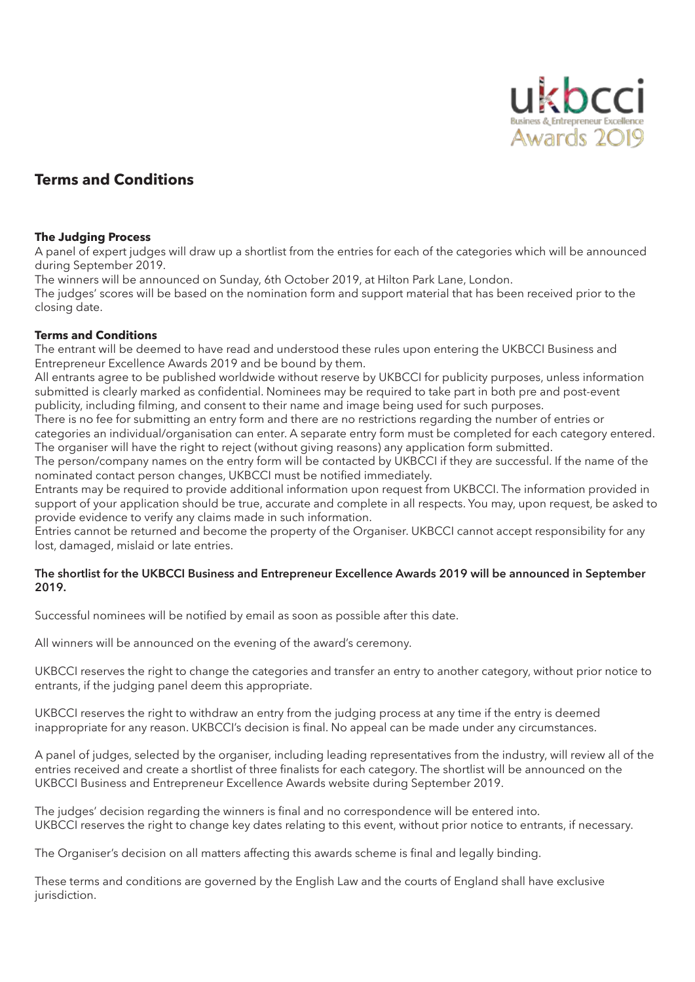

# **Terms and Conditions**

### **The Judging Process**

A panel of expert judges will draw up a shortlist from the entries for each of the categories which will be announced during September 2019.

The winners will be announced on Sunday, 6th October 2019, at Hilton Park Lane, London.

The judges' scores will be based on the nomination form and support material that has been received prior to the closing date.

# **Terms and Conditions**

The entrant will be deemed to have read and understood these rules upon entering the UKBCCI Business and Entrepreneur Excellence Awards 2019 and be bound by them.

All entrants agree to be published worldwide without reserve by UKBCCI for publicity purposes, unless information submitted is clearly marked as confidential. Nominees may be required to take part in both pre and post-event publicity, including filming, and consent to their name and image being used for such purposes.

There is no fee for submitting an entry form and there are no restrictions regarding the number of entries or categories an individual/organisation can enter. A separate entry form must be completed for each category entered. The organiser will have the right to reject (without giving reasons) any application form submitted.

The person/company names on the entry form will be contacted by UKBCCI if they are successful. If the name of the nominated contact person changes, UKBCCI must be notified immediately.

Entrants may be required to provide additional information upon request from UKBCCI. The information provided in support of your application should be true, accurate and complete in all respects. You may, upon request, be asked to provide evidence to verify any claims made in such information.

Entries cannot be returned and become the property of the Organiser. UKBCCI cannot accept responsibility for any lost, damaged, mislaid or late entries.

### **The shortlist for the UKBCCI Business and Entrepreneur Excellence Awards 2019 will be announced in September 2019.**

Successful nominees will be notified by email as soon as possible after this date.

All winners will be announced on the evening of the award's ceremony.

UKBCCI reserves the right to change the categories and transfer an entry to another category, without prior notice to entrants, if the judging panel deem this appropriate.

UKBCCI reserves the right to withdraw an entry from the judging process at any time if the entry is deemed inappropriate for any reason. UKBCCI's decision is final. No appeal can be made under any circumstances.

A panel of judges, selected by the organiser, including leading representatives from the industry, will review all of the entries received and create a shortlist of three finalists for each category. The shortlist will be announced on the UKBCCI Business and Entrepreneur Excellence Awards website during September 2019.

The judges' decision regarding the winners is final and no correspondence will be entered into. UKBCCI reserves the right to change key dates relating to this event, without prior notice to entrants, if necessary.

The Organiser's decision on all matters affecting this awards scheme is final and legally binding.

These terms and conditions are governed by the English Law and the courts of England shall have exclusive jurisdiction.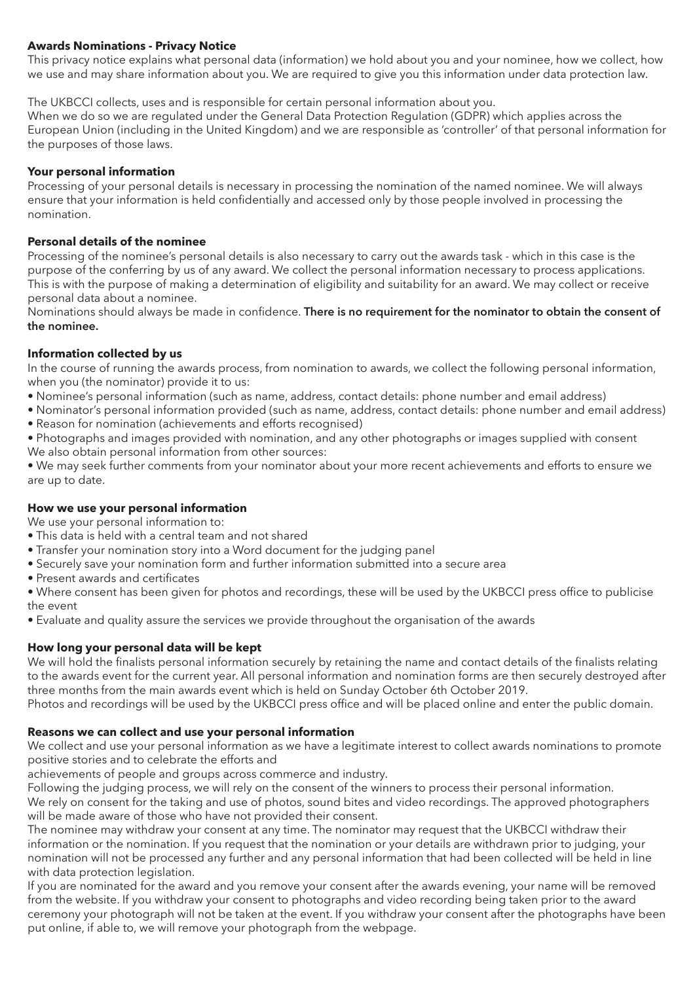# **Awards Nominations - Privacy Notice**

This privacy notice explains what personal data (information) we hold about you and your nominee, how we collect, how we use and may share information about you. We are required to give you this information under data protection law.

The UKBCCI collects, uses and is responsible for certain personal information about you.

When we do so we are regulated under the General Data Protection Regulation (GDPR) which applies across the European Union (including in the United Kingdom) and we are responsible as 'controller' of that personal information for the purposes of those laws.

# **Your personal information**

Processing of your personal details is necessary in processing the nomination of the named nominee. We will always ensure that your information is held confidentially and accessed only by those people involved in processing the nomination.

## **Personal details of the nominee**

Processing of the nominee's personal details is also necessary to carry out the awards task - which in this case is the purpose of the conferring by us of any award. We collect the personal information necessary to process applications. This is with the purpose of making a determination of eligibility and suitability for an award. We may collect or receive personal data about a nominee.

Nominations should always be made in confidence. **There is no requirement for the nominator to obtain the consent of the nominee.**

# **Information collected by us**

In the course of running the awards process, from nomination to awards, we collect the following personal information, when you (the nominator) provide it to us:

- Nominee's personal information (such as name, address, contact details: phone number and email address)
- Nominator's personal information provided (such as name, address, contact details: phone number and email address)
- Reason for nomination (achievements and efforts recognised)
- Photographs and images provided with nomination, and any other photographs or images supplied with consent
- We also obtain personal information from other sources:

• We may seek further comments from your nominator about your more recent achievements and efforts to ensure we are up to date.

### **How we use your personal information**

We use your personal information to:

- This data is held with a central team and not shared
- Transfer your nomination story into a Word document for the judging panel
- Securely save your nomination form and further information submitted into a secure area
- Present awards and certificates

• Where consent has been given for photos and recordings, these will be used by the UKBCCI press office to publicise the event

• Evaluate and quality assure the services we provide throughout the organisation of the awards

# **How long your personal data will be kept**

We will hold the finalists personal information securely by retaining the name and contact details of the finalists relating to the awards event for the current year. All personal information and nomination forms are then securely destroyed after three months from the main awards event which is held on Sunday October 6th October 2019.

Photos and recordings will be used by the UKBCCI press office and will be placed online and enter the public domain.

### **Reasons we can collect and use your personal information**

We collect and use your personal information as we have a legitimate interest to collect awards nominations to promote positive stories and to celebrate the efforts and

achievements of people and groups across commerce and industry.

Following the judging process, we will rely on the consent of the winners to process their personal information. We rely on consent for the taking and use of photos, sound bites and video recordings. The approved photographers will be made aware of those who have not provided their consent.

The nominee may withdraw your consent at any time. The nominator may request that the UKBCCI withdraw their information or the nomination. If you request that the nomination or your details are withdrawn prior to judging, your nomination will not be processed any further and any personal information that had been collected will be held in line with data protection legislation.

If you are nominated for the award and you remove your consent after the awards evening, your name will be removed from the website. If you withdraw your consent to photographs and video recording being taken prior to the award ceremony your photograph will not be taken at the event. If you withdraw your consent after the photographs have been put online, if able to, we will remove your photograph from the webpage.